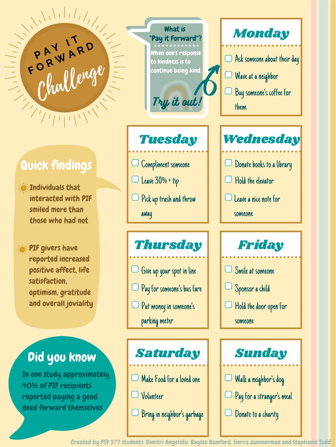**P <sup>A</sup> <sup>Y</sup> <sup>I</sup> <sup>T</sup>**

PIF givers have reported increased positive affect, life satisfaction, optimism, gratitude and overall joviality

Hold the door open for someone Sponsor a child

In one study approximately 40% of PIF recipients reported paying a good deed forward themselves

away

Saturday | Sunday Make Food for a loved one Volunteer Bring in neighbor 's garbage



someone

# Thursday Friday  $\Box$  Give up your spot in line  $\Box$   $\Box$  Smile at someone Put money in someone 's parking meter Pay for someone '

Donate to a charity Walk a neighbor 's dog Pay for a stranger 's meal

## Did you know

Individuals that interacted with PIF smiled more than those who had not

Created by PSY 377 students: Dimitri Angelidis, Baylee Bamford, Sierra Jammerman and Stephanie Todd